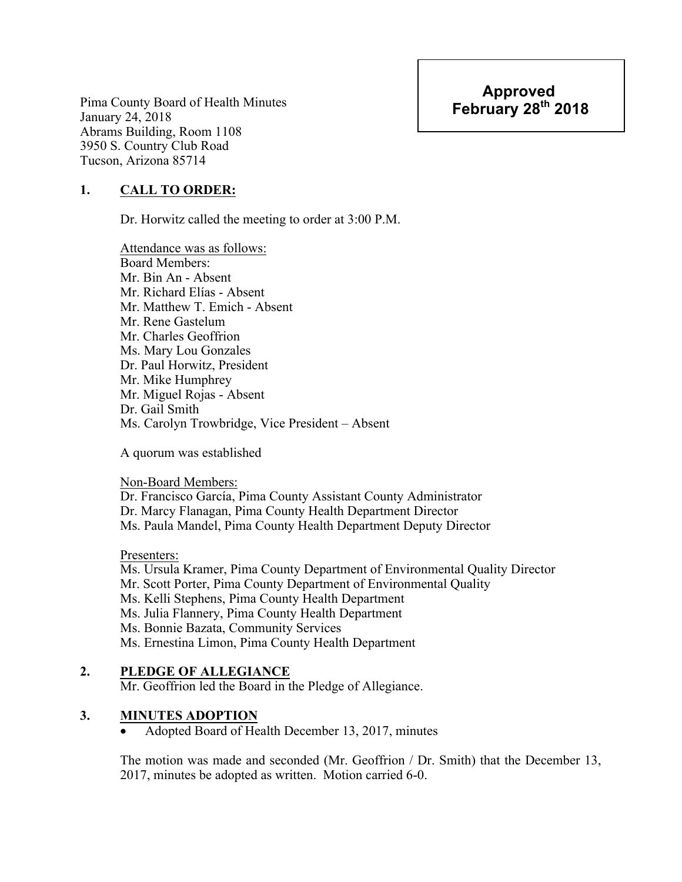Pima County Board of Health Minutes January 24, 2018 Abrams Building, Room 1108 3950 S. Country Club Road Tucson, Arizona 85714

# **1. CALL TO ORDER:**

Dr. Horwitz called the meeting to order at 3:00 P.M.

Attendance was as follows: Board Members: Mr. Bin An - Absent Mr. Richard Elías - Absent Mr. Matthew T. Emich - Absent Mr. Rene Gastelum Mr. Charles Geoffrion Ms. Mary Lou Gonzales Dr. Paul Horwitz, President Mr. Mike Humphrey Mr. Miguel Rojas - Absent Dr. Gail Smith Ms. Carolyn Trowbridge, Vice President – Absent

A quorum was established

Non-Board Members:

Dr. Francisco García, Pima County Assistant County Administrator Dr. Marcy Flanagan, Pima County Health Department Director Ms. Paula Mandel, Pima County Health Department Deputy Director

Presenters:

Ms. Ursula Kramer, Pima County Department of Environmental Quality Director Mr. Scott Porter, Pima County Department of Environmental Quality Ms. Kelli Stephens, Pima County Health Department Ms. Julia Flannery, Pima County Health Department Ms. Bonnie Bazata, Community Services Ms. Ernestina Limon, Pima County Health Department

# **2. PLEDGE OF ALLEGIANCE**

Mr. Geoffrion led the Board in the Pledge of Allegiance.

# **3. MINUTES ADOPTION**

• Adopted Board of Health December 13, 2017, minutes

The motion was made and seconded (Mr. Geoffrion / Dr. Smith) that the December 13, 2017, minutes be adopted as written. Motion carried 6-0.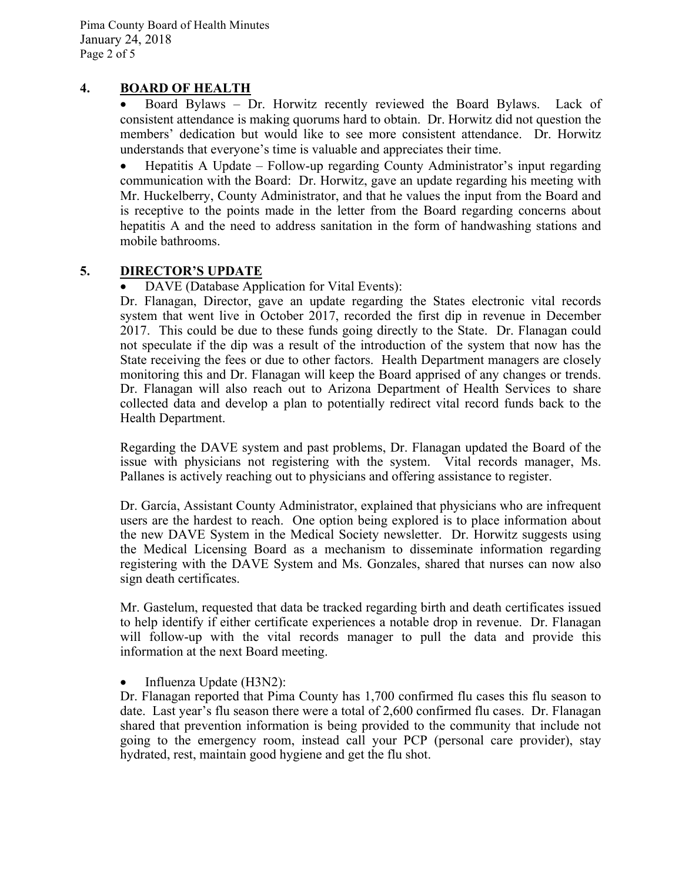### **4. BOARD OF HEALTH**

• Board Bylaws – Dr. Horwitz recently reviewed the Board Bylaws. Lack of consistent attendance is making quorums hard to obtain. Dr. Horwitz did not question the members' dedication but would like to see more consistent attendance. Dr. Horwitz understands that everyone's time is valuable and appreciates their time.

• Hepatitis A Update – Follow-up regarding County Administrator's input regarding communication with the Board: Dr. Horwitz, gave an update regarding his meeting with Mr. Huckelberry, County Administrator, and that he values the input from the Board and is receptive to the points made in the letter from the Board regarding concerns about hepatitis A and the need to address sanitation in the form of handwashing stations and mobile bathrooms.

# **5. DIRECTOR'S UPDATE**

• DAVE (Database Application for Vital Events):

Dr. Flanagan, Director, gave an update regarding the States electronic vital records system that went live in October 2017, recorded the first dip in revenue in December 2017. This could be due to these funds going directly to the State. Dr. Flanagan could not speculate if the dip was a result of the introduction of the system that now has the State receiving the fees or due to other factors. Health Department managers are closely monitoring this and Dr. Flanagan will keep the Board apprised of any changes or trends. Dr. Flanagan will also reach out to Arizona Department of Health Services to share collected data and develop a plan to potentially redirect vital record funds back to the Health Department.

Regarding the DAVE system and past problems, Dr. Flanagan updated the Board of the issue with physicians not registering with the system. Vital records manager, Ms. Pallanes is actively reaching out to physicians and offering assistance to register.

Dr. García, Assistant County Administrator, explained that physicians who are infrequent users are the hardest to reach. One option being explored is to place information about the new DAVE System in the Medical Society newsletter. Dr. Horwitz suggests using the Medical Licensing Board as a mechanism to disseminate information regarding registering with the DAVE System and Ms. Gonzales, shared that nurses can now also sign death certificates.

Mr. Gastelum, requested that data be tracked regarding birth and death certificates issued to help identify if either certificate experiences a notable drop in revenue. Dr. Flanagan will follow-up with the vital records manager to pull the data and provide this information at the next Board meeting.

#### • Influenza Update (H3N2):

Dr. Flanagan reported that Pima County has 1,700 confirmed flu cases this flu season to date. Last year's flu season there were a total of 2,600 confirmed flu cases. Dr. Flanagan shared that prevention information is being provided to the community that include not going to the emergency room, instead call your PCP (personal care provider), stay hydrated, rest, maintain good hygiene and get the flu shot.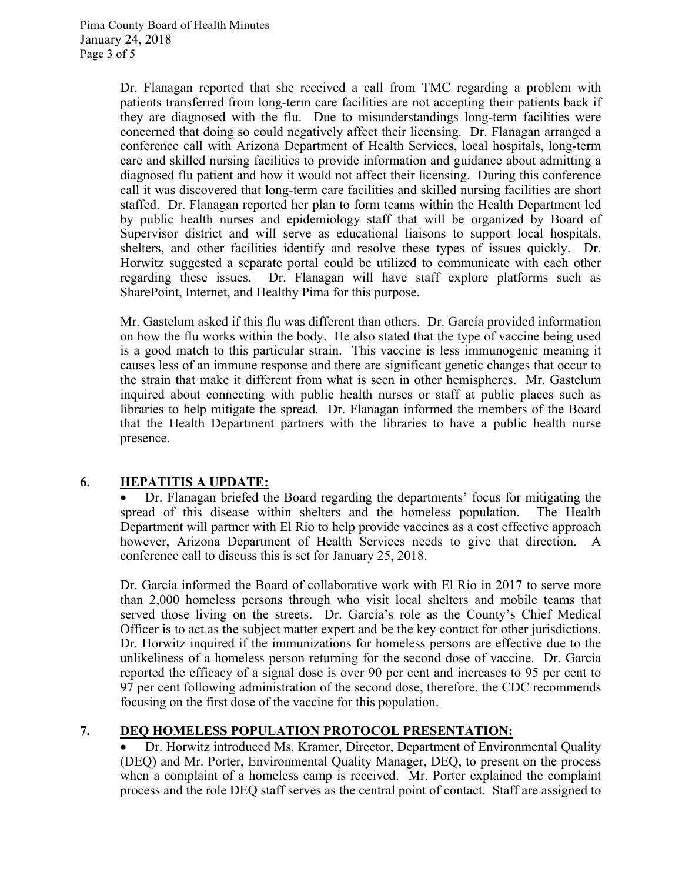Dr. Flanagan reported that she received a call from TMC regarding a problem with patients transferred from long-term care facilities are not accepting their patients back if they are diagnosed with the flu. Due to misunderstandings long-term facilities were concerned that doing so could negatively affect their licensing. Dr. Flanagan arranged a conference call with Arizona Department of Health Services, local hospitals, long-term care and skilled nursing facilities to provide information and guidance about admitting a diagnosed flu patient and how it would not affect their licensing. During this conference call it was discovered that long-term care facilities and skilled nursing facilities are short staffed. Dr. Flanagan reported her plan to form teams within the Health Department led by public health nurses and epidemiology staff that will be organized by Board of Supervisor district and will serve as educational liaisons to support local hospitals, shelters, and other facilities identify and resolve these types of issues quickly. Dr. Horwitz suggested a separate portal could be utilized to communicate with each other regarding these issues. Dr. Flanagan will have staff explore platforms such as SharePoint, Internet, and Healthy Pima for this purpose.

Mr. Gastelum asked if this flu was different than others. Dr. García provided information on how the flu works within the body. He also stated that the type of vaccine being used is a good match to this particular strain. This vaccine is less immunogenic meaning it causes less of an immune response and there are significant genetic changes that occur to the strain that make it different from what is seen in other hemispheres. Mr. Gastelum inquired about connecting with public health nurses or staff at public places such as libraries to help mitigate the spread. Dr. Flanagan informed the members of the Board that the Health Department partners with the libraries to have a public health nurse presence.

# **6. HEPATITIS A UPDATE:**

• Dr. Flanagan briefed the Board regarding the departments' focus for mitigating the spread of this disease within shelters and the homeless population. The Health Department will partner with El Rio to help provide vaccines as a cost effective approach however, Arizona Department of Health Services needs to give that direction. A conference call to discuss this is set for January 25, 2018.

Dr. García informed the Board of collaborative work with El Rio in 2017 to serve more than 2,000 homeless persons through who visit local shelters and mobile teams that served those living on the streets. Dr. García's role as the County's Chief Medical Officer is to act as the subject matter expert and be the key contact for other jurisdictions. Dr. Horwitz inquired if the immunizations for homeless persons are effective due to the unlikeliness of a homeless person returning for the second dose of vaccine. Dr. García reported the efficacy of a signal dose is over 90 per cent and increases to 95 per cent to 97 per cent following administration of the second dose, therefore, the CDC recommends focusing on the first dose of the vaccine for this population.

# **7. DEQ HOMELESS POPULATION PROTOCOL PRESENTATION:**

• Dr. Horwitz introduced Ms. Kramer, Director, Department of Environmental Quality (DEQ) and Mr. Porter, Environmental Quality Manager, DEQ, to present on the process when a complaint of a homeless camp is received. Mr. Porter explained the complaint process and the role DEQ staff serves as the central point of contact. Staff are assigned to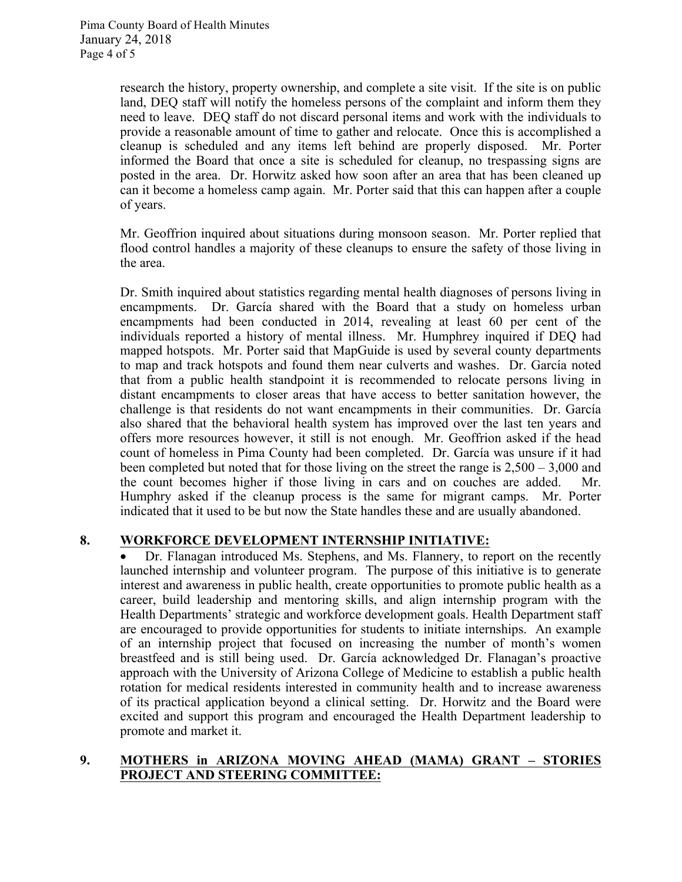research the history, property ownership, and complete a site visit. If the site is on public land, DEQ staff will notify the homeless persons of the complaint and inform them they need to leave. DEQ staff do not discard personal items and work with the individuals to provide a reasonable amount of time to gather and relocate. Once this is accomplished a cleanup is scheduled and any items left behind are properly disposed. Mr. Porter informed the Board that once a site is scheduled for cleanup, no trespassing signs are posted in the area. Dr. Horwitz asked how soon after an area that has been cleaned up can it become a homeless camp again. Mr. Porter said that this can happen after a couple of years.

Mr. Geoffrion inquired about situations during monsoon season. Mr. Porter replied that flood control handles a majority of these cleanups to ensure the safety of those living in the area.

Dr. Smith inquired about statistics regarding mental health diagnoses of persons living in encampments. Dr. García shared with the Board that a study on homeless urban encampments had been conducted in 2014, revealing at least 60 per cent of the individuals reported a history of mental illness. Mr. Humphrey inquired if DEQ had mapped hotspots. Mr. Porter said that MapGuide is used by several county departments to map and track hotspots and found them near culverts and washes. Dr. García noted that from a public health standpoint it is recommended to relocate persons living in distant encampments to closer areas that have access to better sanitation however, the challenge is that residents do not want encampments in their communities. Dr. García also shared that the behavioral health system has improved over the last ten years and offers more resources however, it still is not enough. Mr. Geoffrion asked if the head count of homeless in Pima County had been completed. Dr. García was unsure if it had been completed but noted that for those living on the street the range is 2,500 – 3,000 and the count becomes higher if those living in cars and on couches are added. Mr. Humphry asked if the cleanup process is the same for migrant camps. Mr. Porter indicated that it used to be but now the State handles these and are usually abandoned.

# **8. WORKFORCE DEVELOPMENT INTERNSHIP INITIATIVE:**

• Dr. Flanagan introduced Ms. Stephens, and Ms. Flannery, to report on the recently launched internship and volunteer program. The purpose of this initiative is to generate interest and awareness in public health, create opportunities to promote public health as a career, build leadership and mentoring skills, and align internship program with the Health Departments' strategic and workforce development goals. Health Department staff are encouraged to provide opportunities for students to initiate internships. An example of an internship project that focused on increasing the number of month's women breastfeed and is still being used. Dr. García acknowledged Dr. Flanagan's proactive approach with the University of Arizona College of Medicine to establish a public health rotation for medical residents interested in community health and to increase awareness of its practical application beyond a clinical setting. Dr. Horwitz and the Board were excited and support this program and encouraged the Health Department leadership to promote and market it.

### **9. MOTHERS in ARIZONA MOVING AHEAD (MAMA) GRANT – STORIES PROJECT AND STEERING COMMITTEE:**